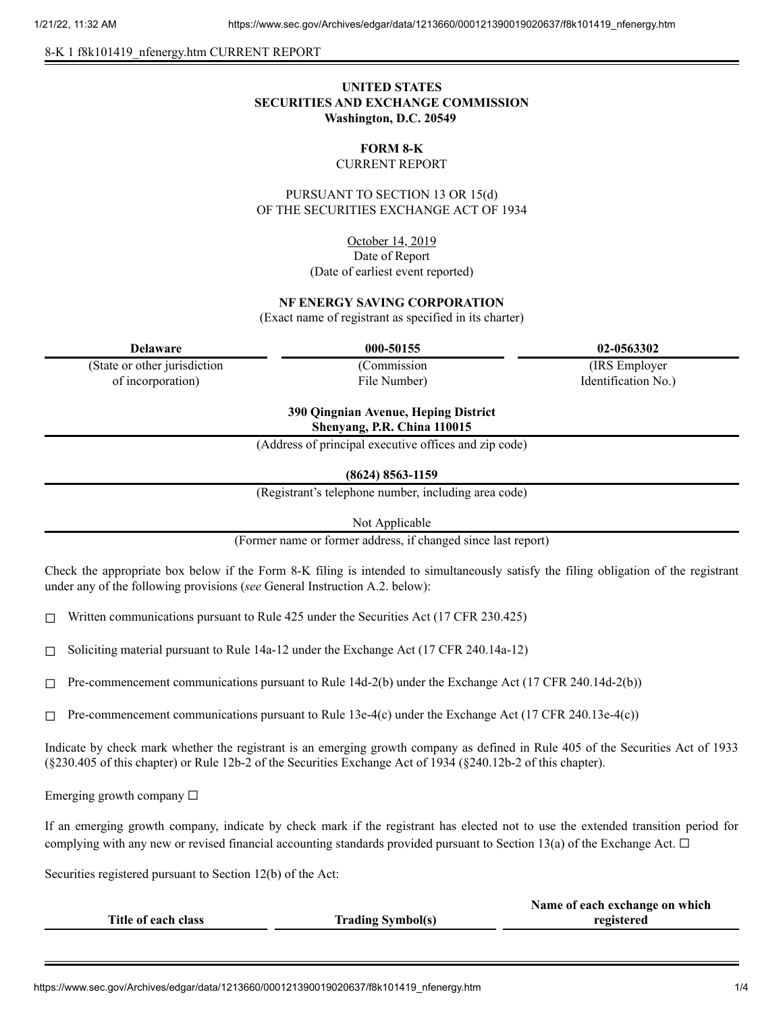8-K 1 f8k101419 nfenergy.htm CURRENT REPORT

## **UNITED STATES SECURITIES AND EXCHANGE COMMISSION Washington, D.C. 20549**

# **FORM 8-K**

#### CURRENT REPORT

PURSUANT TO SECTION 13 OR 15(d) OF THE SECURITIES EXCHANGE ACT OF 1934

> October 14, 2019 Date of Report (Date of earliest event reported)

### **NF ENERGY SAVING CORPORATION**

(Exact name of registrant as specified in its charter)

(State or other jurisdiction of incorporation)

(Commission File Number)

**Delaware 000-50155 02-0563302**

(IRS Employer Identification No.)

**390 Qingnian Avenue, Heping District Shenyang, P.R. China 110015**

(Address of principal executive offices and zip code)

**(8624) 8563-1159**

(Registrant's telephone number, including area code)

Not Applicable

(Former name or former address, if changed since last report)

Check the appropriate box below if the Form 8-K filing is intended to simultaneously satisfy the filing obligation of the registrant under any of the following provisions (*see* General Instruction A.2. below):

 $\Box$  Written communications pursuant to Rule 425 under the Securities Act (17 CFR 230.425)

 $\Box$  Soliciting material pursuant to Rule 14a-12 under the Exchange Act (17 CFR 240.14a-12)

 $\Box$  Pre-commencement communications pursuant to Rule 14d-2(b) under the Exchange Act (17 CFR 240.14d-2(b))

 $\Box$  Pre-commencement communications pursuant to Rule 13e-4(c) under the Exchange Act (17 CFR 240.13e-4(c))

Indicate by check mark whether the registrant is an emerging growth company as defined in Rule 405 of the Securities Act of 1933 (§230.405 of this chapter) or Rule 12b-2 of the Securities Exchange Act of 1934 (§240.12b-2 of this chapter).

Emerging growth company  $\Box$ 

If an emerging growth company, indicate by check mark if the registrant has elected not to use the extended transition period for complying with any new or revised financial accounting standards provided pursuant to Section 13(a) of the Exchange Act.  $\Box$ 

Securities registered pursuant to Section 12(b) of the Act:

|                     |                          | Name of each exchange on which |
|---------------------|--------------------------|--------------------------------|
| Title of each class | <b>Trading Symbol(s)</b> | registered                     |
|                     |                          |                                |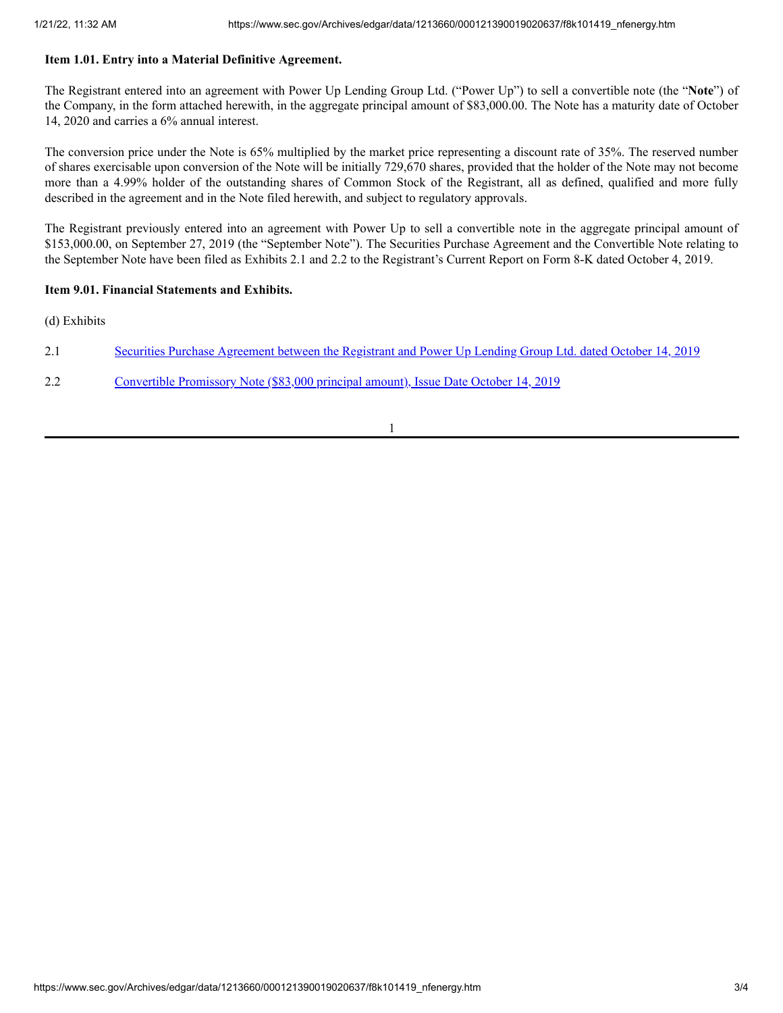#### **Item 1.01. Entry into a Material Definitive Agreement.**

The Registrant entered into an agreement with Power Up Lending Group Ltd. ("Power Up") to sell a convertible note (the "**Note**") of the Company, in the form attached herewith, in the aggregate principal amount of \$83,000.00. The Note has a maturity date of October 14, 2020 and carries a 6% annual interest.

The conversion price under the Note is 65% multiplied by the market price representing a discount rate of 35%. The reserved number of shares exercisable upon conversion of the Note will be initially 729,670 shares, provided that the holder of the Note may not become more than a 4.99% holder of the outstanding shares of Common Stock of the Registrant, all as defined, qualified and more fully described in the agreement and in the Note filed herewith, and subject to regulatory approvals.

The Registrant previously entered into an agreement with Power Up to sell a convertible note in the aggregate principal amount of \$153,000.00, on September 27, 2019 (the "September Note"). The Securities Purchase Agreement and the Convertible Note relating to the September Note have been filed as Exhibits 2.1 and 2.2 to the Registrant's Current Report on Form 8-K dated October 4, 2019.

#### **Item 9.01. Financial Statements and Exhibits.**

(d) Exhibits

- 2.1 Securities Purchase [Agreement](https://www.sec.gov/Archives/edgar/data/1213660/000121390019020637/f8k101419ex2-1_nfenergy.htm) between the Registrant and Power Up Lending Group Ltd. dated October 14, 2019
- 2.2 [Convertible](https://www.sec.gov/Archives/edgar/data/1213660/000121390019020637/f8k101419ex2-2_nfenergy.htm) Promissory Note (\$83,000 principal amount), Issue Date October 14, 2019

1